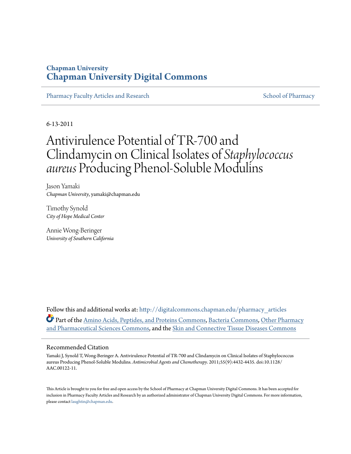### **Chapman University [Chapman University Digital Commons](http://digitalcommons.chapman.edu?utm_source=digitalcommons.chapman.edu%2Fpharmacy_articles%2F505&utm_medium=PDF&utm_campaign=PDFCoverPages)**

[Pharmacy Faculty Articles and Research](http://digitalcommons.chapman.edu/pharmacy_articles?utm_source=digitalcommons.chapman.edu%2Fpharmacy_articles%2F505&utm_medium=PDF&utm_campaign=PDFCoverPages) [School of Pharmacy](http://digitalcommons.chapman.edu/cusp?utm_source=digitalcommons.chapman.edu%2Fpharmacy_articles%2F505&utm_medium=PDF&utm_campaign=PDFCoverPages) School of Pharmacy

6-13-2011

# Antivirulence Potential of TR-700 and Clindamycin on Clinical Isolates of *Staphylococcus aureus* Producing Phenol-Soluble Modulins

Jason Yamaki *Chapman University*, yamaki@chapman.edu

Timothy Synold *City of Hope Medical Center*

Annie Wong-Beringer *University of Southern California*

Follow this and additional works at: [http://digitalcommons.chapman.edu/pharmacy\\_articles](http://digitalcommons.chapman.edu/pharmacy_articles?utm_source=digitalcommons.chapman.edu%2Fpharmacy_articles%2F505&utm_medium=PDF&utm_campaign=PDFCoverPages) Part of the [Amino Acids, Peptides, and Proteins Commons](http://network.bepress.com/hgg/discipline/954?utm_source=digitalcommons.chapman.edu%2Fpharmacy_articles%2F505&utm_medium=PDF&utm_campaign=PDFCoverPages), [Bacteria Commons](http://network.bepress.com/hgg/discipline/985?utm_source=digitalcommons.chapman.edu%2Fpharmacy_articles%2F505&utm_medium=PDF&utm_campaign=PDFCoverPages), [Other Pharmacy](http://network.bepress.com/hgg/discipline/737?utm_source=digitalcommons.chapman.edu%2Fpharmacy_articles%2F505&utm_medium=PDF&utm_campaign=PDFCoverPages) [and Pharmaceutical Sciences Commons](http://network.bepress.com/hgg/discipline/737?utm_source=digitalcommons.chapman.edu%2Fpharmacy_articles%2F505&utm_medium=PDF&utm_campaign=PDFCoverPages), and the [Skin and Connective Tissue Diseases Commons](http://network.bepress.com/hgg/discipline/942?utm_source=digitalcommons.chapman.edu%2Fpharmacy_articles%2F505&utm_medium=PDF&utm_campaign=PDFCoverPages)

#### Recommended Citation

Yamaki J, Synold T, Wong-Beringer A. Antivirulence Potential of TR-700 and Clindamycin on Clinical Isolates of Staphylococcus aureus Producing Phenol-Soluble Modulins. *Antimicrobial Agents and Chemotherapy*. 2011;55(9):4432-4435. doi:10.1128/ AAC.00122-11.

This Article is brought to you for free and open access by the School of Pharmacy at Chapman University Digital Commons. It has been accepted for inclusion in Pharmacy Faculty Articles and Research by an authorized administrator of Chapman University Digital Commons. For more information, please contact [laughtin@chapman.edu.](mailto:laughtin@chapman.edu)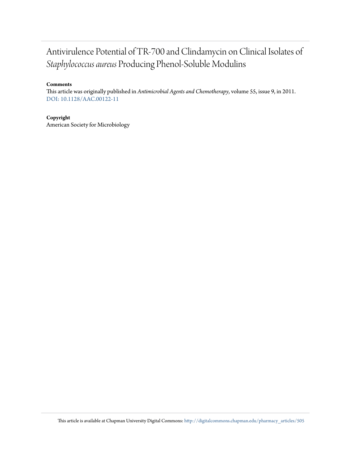## Antivirulence Potential of TR-700 and Clindamycin on Clinical Isolates of *Staphylococcus aureus* Producing Phenol-Soluble Modulins

### **Comments**

This article was originally published in *Antimicrobial Agents and Chemotherapy*, volume 55, issue 9, in 2011. [DOI: 10.1128/AAC.00122-11](http://dx.doi.org/10.1128/AAC.00122-11)

#### **Copyright**

American Society for Microbiology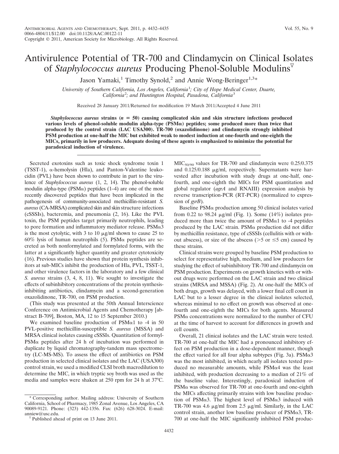## Antivirulence Potential of TR-700 and Clindamycin on Clinical Isolates of *Staphylococcus aureus* Producing Phenol-Soluble Modulins

Jason Yamaki,<sup>1</sup> Timothy Synold,<sup>2</sup> and Annie Wong-Beringer<sup>1,3\*</sup>

*University of Southern California, Los Angeles, California*<sup>1</sup> *; City of Hope Medical Center, Duarte, California*<sup>2</sup> *; and Huntington Hospital, Pasadena, California*<sup>3</sup>

Received 28 January 2011/Returned for modification 19 March 2011/Accepted 4 June 2011

*Staphylococcus aureus* **strains (***n* **50) causing complicated skin and skin structure infections produced various levels of phenol-soluble modulin alpha-type (PSM**-**) peptides; some produced more than twice that produced by the control strain (LAC USA300). TR-700 (oxazolidinone) and clindamycin strongly inhibited PSM production at one-half the MIC but exhibited weak to modest induction at one-fourth and one-eighth the MICs, primarily in low producers. Adequate dosing of these agents is emphasized to minimize the potential for paradoxical induction of virulence.**

Secreted exotoxins such as toxic shock syndrome toxin 1 (TSST-1),  $\alpha$ -hemolysin (Hla), and Panton-Valentine leukocidin (PVL) have been shown to contribute in part to the virulence of *Staphylococcus aureus* (1, 2, 14). The phenol-soluble modulin alpha-type ( $PSM\alpha$ ) peptides (1–4) are one of the most recently discovered peptides that have been implicated in the pathogenesis of community-associated methicillin-resistant *S. aureus*(CA-MRSA) complicated skin and skin structure infections (cSSSIs), bacteremia, and pneumonia (2, 16). Like the PVL toxin, the PSM peptides target primarily neutrophils, leading to pore formation and inflammatory mediator release.  $PSM\alpha3$ is the most cytolytic, with 3 to 10  $\mu$ g/ml shown to cause 25 to 60% lysis of human neutrophils (5). PSM $\alpha$  peptides are secreted as both nonformylated and formylated forms, with the latter at a significantly higher quantity and greater cytotoxicity (16). Previous studies have shown that protein synthesis inhibitors at sub-MICs inhibit the production of Hla, PVL, TSST-1, and other virulence factors in the laboratory and a few clinical *S. aureus* strains (3, 4, 8, 11). We sought to investigate the effects of subinhibitory concentrations of the protein synthesisinhibiting antibiotics, clindamycin and a second-generation oxazolidinone, TR-700, on PSM production.

(This study was presented at the 50th Annual Interscience Conference on Antimicrobial Agents and Chemotherapy [abstract B-709], Boston, MA, 12 to 15 September 2010.)

We examined baseline production of  $PSM\alpha1$  to -4 in 50 PVL-positive methicillin-susceptible *S. aureus* (MSSA) and MRSA clinical isolates causing cSSSIs. Quantitation of formyl- $PSM\alpha$  peptides after 24 h of incubation was performed in duplicate by liquid chromatography-tandem mass spectrometry (LC-MS-MS). To assess the effect of antibiotics on PSM production in selected clinical isolates and the LAC (USA300) control strain, we used a modified CLSI broth macrodilution to determine the MIC, in which tryptic soy broth was used as the media and samples were shaken at 250 rpm for 24 h at 37°C.

Corresponding author. Mailing address: University of Southern California, School of Pharmacy, 1985 Zonal Avenue, Los Angeles, CA 90089-9121. Phone: (323) 442-1356. Fax: (626) 628-3024. E-mail: anniew@usc.edu.<br><sup> $\nabla$ </sup>Published ahead of print on 13 June 2011.

 $MIC<sub>50/90</sub>$  values for TR-700 and clindamycin were 0.25/0.375 and  $0.125/0.188$   $\mu$ g/ml, respectively. Supernatants were harvested after incubation with study drugs at one-half, onefourth, and one-eighth the MICs for PSM quantitation and global regulator (*agrA* and RNAIII) expression analysis by reverse transcription-PCR (RT-PCR) (normalized to expression of *gyrB*).

Baseline  $PSM\alpha$  production among 50 clinical isolates varied from 0.22 to 98.24  $\mu$ g/ml (Fig. 1). Some (14%) isolates produced more than twice the amount of  $PSM\alpha1$  to -4 peptides produced by the LAC strain.  $PSM\alpha$  production did not differ by methicillin resistance, type of cSSSIs (cellulitis with or without abscess), or size of the abscess ( $>$ 5 or  $\leq$ 5 cm) caused by these strains.

Clinical strains were grouped by baseline PSM production to select for representative high, medium, and low producers for studying the effect of subinhibitory TR-700 and clindamycin on PSM production. Experiments on growth kinetics with or without drugs were performed on the LAC strain and two clinical strains (MRSA and MSSA) (Fig. 2). At one-half the MICs of both drugs, growth was delayed, with a lower final cell count in LAC but to a lesser degree in the clinical isolates selected, whereas minimal to no effect on growth was observed at onefourth and one-eighth the MICs for both agents. Measured  $PSM\alpha$  concentrations were normalized to the number of CFU at the time of harvest to account for differences in growth and cell counts.

Overall, 21 clinical isolates and the LAC strain were tested. TR-700 at one-half the MIC had a pronounced inhibitory effect on PSM production in a dose-dependent manner, though the effect varied for all four alpha subtypes (Fig. 3a).  $PSM\alpha3$ was the most inhibited, in which nearly all isolates tested produced no measurable amounts, while  $PSM\alpha4$  was the least inhibited, with production decreasing to a median of 21% of the baseline value. Interestingly, paradoxical induction of  $PSM\alpha$  was observed for TR-700 at one-fourth and one-eighth the MICs affecting primarily strains with low baseline production of PSM $\alpha$ 3. The highest level of PSM $\alpha$ 3 induced with TR-700 was 4.6  $\mu$ g/ml from 2.5  $\mu$ g/ml. Similarly, in the LAC control strain, another low baseline producer of  $PSM\alpha3$ , TR-700 at one-half the MIC significantly inhibited PSM produc-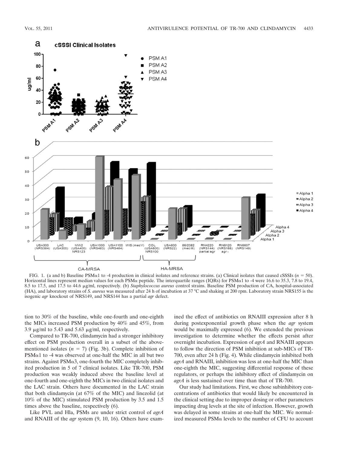

FIG. 1. (a and b) Baseline PSM $\alpha$ 1 to -4 production in clinical isolates and reference strains. (a) Clinical isolates that caused cSSSIs ( $n = 50$ ). Horizontal lines represent median values for each PSM $\alpha$  peptide. The interquartile ranges (IQRs) for PSM $\alpha$ 1 to -4 were 16.6 to 35.3, 7.8 to 19.4, 8.5 to 17.5, and 17.5 to 44.6 µg/ml, respectively. (b) Staphylococcus aureus control strains. Baseline PSM production of CA, hospital-associated (HA), and laboratory strains of *S. aureus* was measured after 24 h of incubation at 37 °C and shaking at 200 rpm. Laboratory strain NRS155 is the isogenic *agr* knockout of NRS149, and NRS144 has a partial *agr* defect.

tion to 30% of the baseline, while one-fourth and one-eighth the MICs increased PSM production by 40% and 45%, from 3.9  $\mu$ g/ml to 5.43 and 5.63  $\mu$ g/ml, respectively.

Compared to TR-700, clindamycin had a stronger inhibitory effect on PSM production overall in a subset of the abovementioned isolates  $(n = 7)$  (Fig. 3b). Complete inhibition of  $PSM\alpha1$  to -4 was observed at one-half the MIC in all but two strains. Against  $PSM\alpha3$ , one-fourth the MIC completely inhibited production in 5 of 7 clinical isolates. Like TR-700, PSM production was weakly induced above the baseline level at one-fourth and one-eighth the MICs in two clinical isolates and the LAC strain. Others have documented in the LAC strain that both clindamycin (at 67% of the MIC) and linezolid (at 10% of the MIC) stimulated PSM production by 3.5 and 1.5 times above the baseline, respectively (6).

Like PVL and Hla, PSMs are under strict control of *agrA* and RNAIII of the *agr* system (9, 10, 16). Others have examined the effect of antibiotics on RNAIII expression after 8 h during postexponential growth phase when the *agr* system would be maximally expressed (6). We extended the previous investigation to determine whether the effects persist after overnight incubation. Expression of *agrA* and RNAIII appears to follow the direction of PSM inhibition at sub-MICs of TR-700, even after 24 h (Fig. 4). While clindamycin inhibited both *agrA* and RNAIII, inhibition was less at one-half the MIC than one-eighth the MIC, suggesting differential response of these regulators, or perhaps the inhibitory effect of clindamycin on *agrA* is less sustained over time than that of TR-700.

Our study had limitations. First, we chose subinhibitory concentrations of antibiotics that would likely be encountered in the clinical setting due to improper dosing or other parameters impacting drug levels at the site of infection. However, growth was delayed in some strains at one-half the MIC. We normalized measured  $PSM\alpha$  levels to the number of CFU to account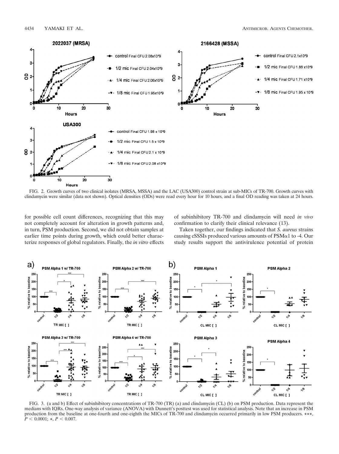

FIG. 2. Growth curves of two clinical isolates (MRSA, MSSA) and the LAC (USA300) control strain at sub-MICs of TR-700. Growth curves with clindamycin were similar (data not shown). Optical densities (ODs) were read every hour for 10 hours, and a final OD reading was taken at 24 hours.

for possible cell count differences, recognizing that this may not completely account for alteration in growth patterns and, in turn, PSM production. Second, we did not obtain samples at earlier time points during growth, which could better characterize responses of global regulators. Finally, the *in vitro* effects of subinhibitory TR-700 and clindamycin will need *in vivo* confirmation to clarify their clinical relevance (13).

Taken together, our findings indicated that *S. aureus* strains causing cSSSIs produced various amounts of  $PSM\alpha1$  to -4. Our study results support the antivirulence potential of protein

![](_page_4_Figure_7.jpeg)

FIG. 3. (a and b) Effect of subinhibitory concentrations of TR-700 (TR) (a) and clindamycin (CL) (b) on PSM production. Data represent the medians with IQRs. One-way analysis of variance (ANOVA) with Dunnett's posttest was used for statistical analysis. Note that an increase in PSM production from the baseline at one-fourth and one-eighth the MICs of TR-700 and clindamycin occurred primarily in low PSM producers. **\*\*\***,  $\dot{P}$  < 0.0001; \*,  $P$  < 0.007.